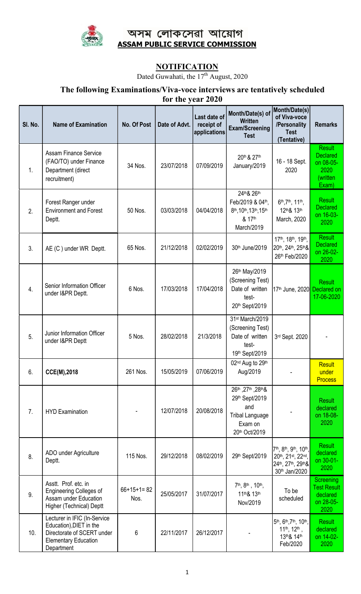

# অসম লোকসেৱা আয়োগ ASSAM PUBLIC SERVICE COMMISSION

## NOTIFICATION

Dated Guwahati, the  $17<sup>th</sup>$  August, 2020

### The following Examinations/Viva-voce interviews are tentatively scheduled  $2020$

|  | for the year 202 |  |
|--|------------------|--|
|--|------------------|--|

| SI. No. | <b>Name of Examination</b>                                                                                                         | No. Of Post          | Date of Advt. | Last date of<br>receipt of<br>applications | Month/Date(s) of<br><b>Written</b><br><b>Exam/Screening</b><br><b>Test</b>                        | Month/Date(s)<br>of Viva-voce<br>/Personality<br><b>Test</b><br>(Tentative)     | <b>Remarks</b>                                                             |
|---------|------------------------------------------------------------------------------------------------------------------------------------|----------------------|---------------|--------------------------------------------|---------------------------------------------------------------------------------------------------|---------------------------------------------------------------------------------|----------------------------------------------------------------------------|
| 1.      | <b>Assam Finance Service</b><br>(FAO/TO) under Finance<br>Department (direct<br>recruitment)                                       | 34 Nos.              | 23/07/2018    | 07/09/2019                                 | 20th & 27th<br>January/2019                                                                       | 16 - 18 Sept.<br>2020                                                           | <b>Result</b><br><b>Declared</b><br>on 08-05-<br>2020<br>(written<br>Exam) |
| 2.      | Forest Ranger under<br><b>Environment and Forest</b><br>Deptt.                                                                     | 50 Nos.              | 03/03/2018    | 04/04/2018                                 | 24th & 26th<br>Feb/2019 & 04th,<br>8th, 10th, 13th, 15th<br>& 17th<br>March/2019                  | 6th, 7th, 11th,<br>12th& 13th<br>March, 2020                                    | <b>Result</b><br><b>Declared</b><br>on 16-03-<br>2020                      |
| 3.      | AE (C) under WR Deptt.                                                                                                             | 65 Nos.              | 21/12/2018    | 02/02/2019                                 | 30th June/2019                                                                                    | 17th, 18th, 19th,<br>20th, 24th, 25th&<br>26th Feb/2020                         | <b>Result</b><br><b>Declared</b><br>on 26-02-<br>2020                      |
| 4.      | Senior Information Officer<br>under I&PR Deptt.                                                                                    | 6 Nos.               | 17/03/2018    | 17/04/2018                                 | 26th May/2019<br>(Screening Test)<br>Date of written<br>test-<br>20th Sept/2019                   | 17 <sup>th</sup> June, 2020 Declared on                                         | <b>Result</b><br>17-06-2020                                                |
| 5.      | Junior Information Officer<br>under I&PR Deptt                                                                                     | 5 Nos.               | 28/02/2018    | 21/3/2018                                  | 31st March/2019<br>(Screening Test)<br>Date of written<br>test-<br>19th Sept/2019                 | 3rd Sept. 2020                                                                  |                                                                            |
| 6.      | CCE(M),2018                                                                                                                        | 261 Nos.             | 15/05/2019    | 07/06/2019                                 | 02 <sup>nd</sup> Aug to 29 <sup>th</sup><br>Aug/2019                                              |                                                                                 | <b>Result</b><br>under<br><b>Process</b>                                   |
| 7.      | <b>HYD Examination</b>                                                                                                             |                      | 12/07/2018    | 20/08/2018                                 | 26th, 27th, 28th &<br>29th Sept/2019<br>and<br><b>Tribal Language</b><br>Exam on<br>20th Oct/2019 |                                                                                 | <b>Result</b><br>declared<br>on 18-08-<br>2020                             |
| 8.      | ADO under Agriculture<br>Deptt.                                                                                                    | 115 Nos.             | 29/12/2018    | 08/02/2019                                 | 29th Sept/2019                                                                                    | 7th, 8th, 9th, 10th,<br>20th, 21st, 22nd,<br>24th, 27th, 29th&<br>30th Jan/2020 | <b>Result</b><br>declared<br>on 30-01-<br>2020                             |
| 9.      | Asstt. Prof. etc. in<br><b>Engineering Colleges of</b><br>Assam under Education<br>Higher (Technical) Deptt                        | $66+15+1=82$<br>Nos. | 25/05/2017    | 31/07/2017                                 | 7 <sup>th</sup> , 8 <sup>th</sup> , 10 <sup>th</sup> ,<br>11th& 13th<br>Nov/2019                  | To be<br>scheduled                                                              | <b>Screening</b><br><b>Test Result</b><br>declared<br>on 28-05-<br>2020    |
| 10.     | Lecturer in IFIC (In-Service<br>Education), DIET in the<br>Directorate of SCERT under<br><b>Elementary Education</b><br>Department | $\,6\,$              | 22/11/2017    | 26/12/2017                                 |                                                                                                   | 5th, 6th, 7th, 10th,<br>$11th$ , $12th$ ,<br>13th& 14th<br>Feb/2020             | <b>Result</b><br>declared<br>on 14-02-<br>2020                             |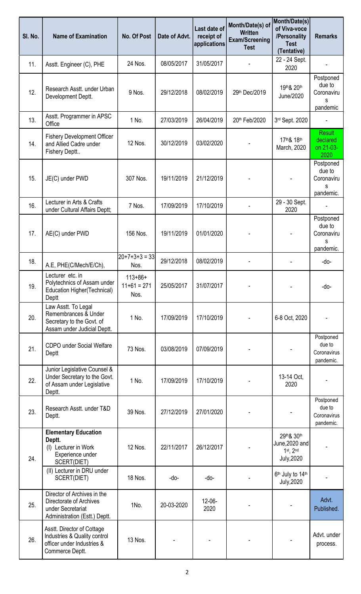| SI. No. | <b>Name of Examination</b>                                                                                   | No. Of Post                           | Date of Advt. | Last date of<br>receipt of<br>applications | Month/Date(s) of<br><b>Written</b><br><b>Exam/Screening</b><br><b>Test</b> | Month/Date(s)<br>of Viva-voce<br>/Personality<br><b>Test</b><br>(Tentative) | <b>Remarks</b>                                      |
|---------|--------------------------------------------------------------------------------------------------------------|---------------------------------------|---------------|--------------------------------------------|----------------------------------------------------------------------------|-----------------------------------------------------------------------------|-----------------------------------------------------|
| 11.     | Asstt. Engineer (C), PHE                                                                                     | 24 Nos.                               | 08/05/2017    | 31/05/2017                                 |                                                                            | 22 - 24 Sept.<br>2020                                                       |                                                     |
| 12.     | Research Asstt. under Urban<br>Development Deptt.                                                            | 9 Nos.                                | 29/12/2018    | 08/02/2019                                 | 29th Dec/2019                                                              | 19th& 20th<br>June/2020                                                     | Postponed<br>due to<br>Coronaviru<br>S<br>pandemic  |
| 13.     | Asstt. Programmer in APSC<br>Office                                                                          | 1 No.                                 | 27/03/2019    | 26/04/2019                                 | 20th Feb/2020                                                              | 3rd Sept. 2020                                                              |                                                     |
| 14.     | <b>Fishery Development Officer</b><br>and Allied Cadre under<br>Fishery Deptt                                | 12 Nos.                               | 30/12/2019    | 03/02/2020                                 |                                                                            | 17th& 18th<br>March, 2020                                                   | <b>Result</b><br>declared<br>on 21-03-<br>2020      |
| 15.     | JE(C) under PWD                                                                                              | 307 Nos.                              | 19/11/2019    | 21/12/2019                                 |                                                                            |                                                                             | Postponed<br>due to<br>Coronaviru<br>s<br>pandemic. |
| 16.     | Lecturer in Arts & Crafts<br>under Cultural Affairs Deptt;                                                   | 7 Nos.                                | 17/09/2019    | 17/10/2019                                 |                                                                            | 29 - 30 Sept.<br>2020                                                       |                                                     |
| 17.     | AE(C) under PWD                                                                                              | 156 Nos.                              | 19/11/2019    | 01/01/2020                                 |                                                                            |                                                                             | Postponed<br>due to<br>Coronaviru<br>s<br>pandemic. |
| 18.     | A.E, PHE(C/Mech/E/Ch),                                                                                       | 20+7+3+3 = 33<br>Nos.                 | 29/12/2018    | 08/02/2019                                 |                                                                            |                                                                             | -do-                                                |
| 19.     | Lecturer etc. in<br>Polytechnics of Assam under<br>Education Higher(Technical)<br>Deptt                      | $113 + 86 +$<br>$11+61 = 271$<br>Nos. | 25/05/2017    | 31/07/2017                                 |                                                                            |                                                                             | -do-                                                |
| 20.     | Law Asstt. To Legal<br>Remembrances & Under<br>Secretary to the Govt. of<br>Assam under Judicial Deptt.      | 1 No.                                 | 17/09/2019    | 17/10/2019                                 |                                                                            | 6-8 Oct, 2020                                                               |                                                     |
| 21.     | CDPO under Social Welfare<br>Deptt                                                                           | 73 Nos.                               | 03/08/2019    | 07/09/2019                                 |                                                                            |                                                                             | Postponed<br>due to<br>Coronavirus<br>pandemic.     |
| 22.     | Junior Legislative Counsel &<br>Under Secretary to the Govt.<br>of Assam under Legislative<br>Deptt.         | 1 No.                                 | 17/09/2019    | 17/10/2019                                 |                                                                            | 13-14 Oct,<br>2020                                                          |                                                     |
| 23.     | Research Asstt. under T&D<br>Deptt.                                                                          | 39 Nos.                               | 27/12/2019    | 27/01/2020                                 |                                                                            |                                                                             | Postponed<br>due to<br>Coronavirus<br>pandemic.     |
| 24.     | <b>Elementary Education</b><br>Deptt.<br>(I) Lecturer in Work<br>Experience under<br>SCERT(DIET)             | 12 Nos.                               | 22/11/2017    | 26/12/2017                                 |                                                                            | 29th& 30th<br>June, 2020 and<br>$1st$ , $2nd$<br>July, 2020                 |                                                     |
|         | (II) Lecturer in DRU under<br>SCERT(DIET)                                                                    | 18 Nos.                               | -do-          | -do-                                       |                                                                            | 6 <sup>th</sup> July to 14 <sup>th</sup><br>July, 2020                      |                                                     |
| 25.     | Director of Archives in the<br>Directorate of Archives<br>under Secretariat<br>Administration (Estt.) Deptt. | 1No.                                  | 20-03-2020    | 12-06-<br>2020                             |                                                                            |                                                                             | Advt.<br>Published.                                 |
| 26.     | Asstt. Director of Cottage<br>Industries & Quality control<br>officer under Industries &<br>Commerce Deptt.  | 13 Nos.                               |               |                                            |                                                                            |                                                                             | Advt. under<br>process.                             |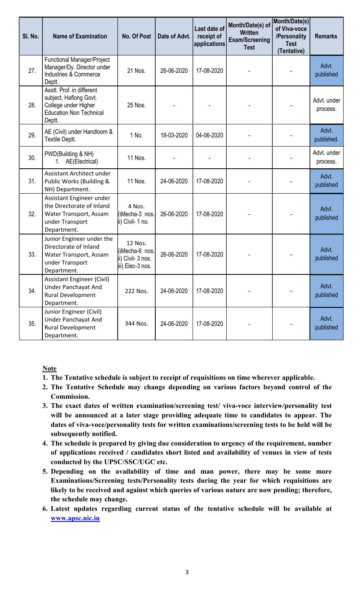| SI. No. | <b>Name of Examination</b>                                                                                              | <b>No. Of Post</b>                                                 | Date of Advt. | Last date of<br>receipt of<br>applications | Month/Date(s) of<br><b>Written</b><br><b>Exam/Screening</b><br><b>Test</b> | Month/Date(s)<br>of Viva-voce<br>/Personality<br><b>Test</b><br>(Tentative) | <b>Remarks</b>          |
|---------|-------------------------------------------------------------------------------------------------------------------------|--------------------------------------------------------------------|---------------|--------------------------------------------|----------------------------------------------------------------------------|-----------------------------------------------------------------------------|-------------------------|
| 27.     | Functional Manager/Project<br>Manager/Dy. Director under<br>Industries & Commerce<br>Deptt.                             | 21 Nos.                                                            | 26-06-2020    | 17-08-2020                                 |                                                                            |                                                                             | Advt.<br>published      |
| 28.     | Asstt. Prof. in different<br>subject, Haflong Govt.<br>College under Higher<br><b>Education Non Technical</b><br>Deptt. | 25 Nos.                                                            |               |                                            |                                                                            |                                                                             | Advt. under<br>process. |
| 29.     | AE (Civil) under Handloom &<br>Textile Deptt.                                                                           | 1 No.                                                              | 18-03-2020    | 04-06-2020                                 |                                                                            |                                                                             | Advt.<br>published.     |
| 30.     | PWD(Building & NH)<br>1. AE(Electrical)                                                                                 | 11 Nos.                                                            |               |                                            |                                                                            |                                                                             | Advt. under<br>process. |
| 31.     | Assistant Architect under<br>Public Works (Building &<br>NH) Department.                                                | 11 Nos.                                                            | 24-06-2020    | 17-08-2020                                 |                                                                            |                                                                             | Advt.<br>published      |
| 32.     | Assistant Engineer under<br>the Directorate of Inland<br>Water Transport, Assam<br>under Transport<br>Department.       | 4 Nos.<br>i)Mecha-3 nos.<br>ii) Civil- 1 no.                       | 26-06-2020    | 17-08-2020                                 |                                                                            |                                                                             | Advt.<br>published      |
| 33.     | Junior Engineer under the<br>Directorate of Inland<br>Water Transport, Assam<br>under Transport<br>Department.          | 12 Nos.<br>i)Mecha-6 nos.<br>ii) Civil- 3 nos.<br>iii) Elec-3 nos. | 26-06-2020    | 17-08-2020                                 |                                                                            |                                                                             | Advt.<br>published      |
| 34.     | <b>Assistant Engineer (Civil)</b><br><b>Under Panchayat And</b><br>Rural Development<br>Department.                     | 222 Nos.                                                           | 24-06-2020    | 17-08-2020                                 |                                                                            |                                                                             | Advt.<br>published      |
| 35.     | Junior Engineer (Civil)<br><b>Under Panchayat And</b><br>Rural Development<br>Department.                               | 344 Nos.                                                           | 24-06-2020    | 17-08-2020                                 |                                                                            |                                                                             | Advt.<br>published      |

#### **Note**

- 1. The Tentative schedule is subject to receipt of requisitions on time wherever applicable.
- 2. The Tentative Schedule may change depending on various factors beyond control of the Commission.
- 3. The exact dates of written examination/screening test/ viva-voce interview/personality test will be announced at a later stage providing adequate time to candidates to appear. The dates of viva-voce/personality tests for written examinations/screening tests to be held will be subsequently notified.
- 4. The schedule is prepared by giving due consideration to urgency of the requirement, number of applications received / candidates short listed and availability of venues in view of tests conducted by the UPSC/SSC/UGC etc.
- 5. Depending on the availability of time and man power, there may be some more Examinations/Screening tests/Personality tests during the year for which requisitions are likely to be received and against which queries of various nature are now pending; therefore, the schedule may change.
- 6. Latest updates regarding current status of the tentative schedule will be available at www.apsc.nic.in